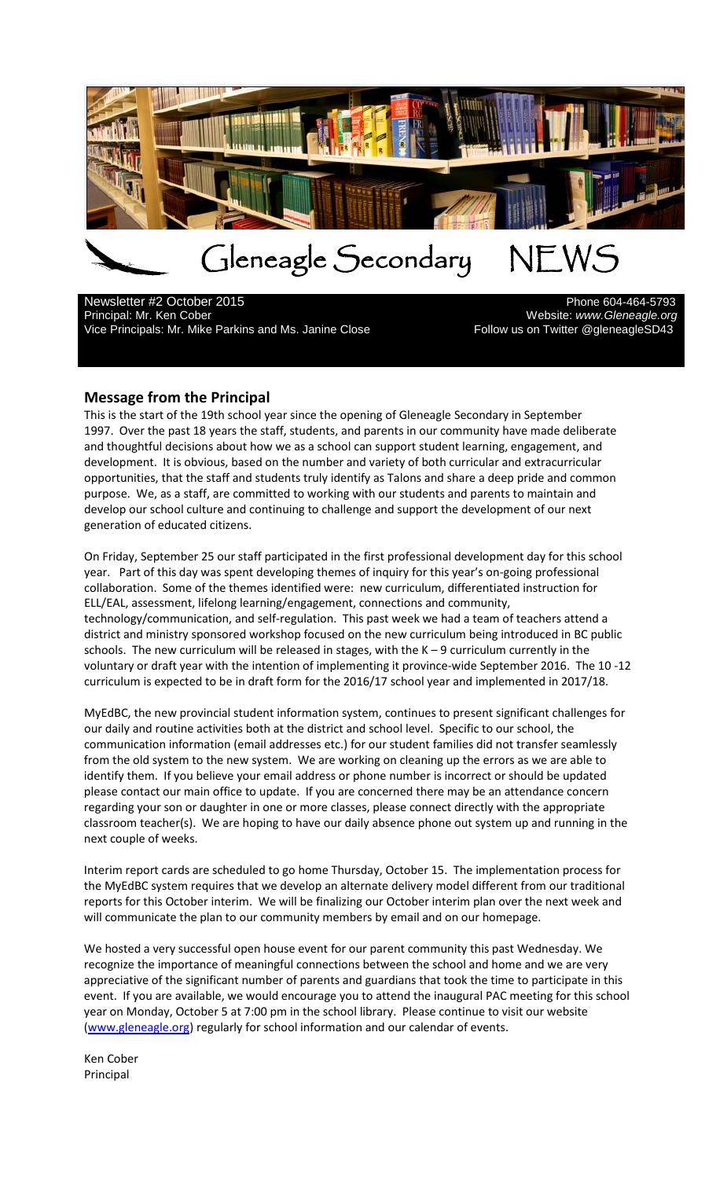

# Gleneagle Secondary NEWS<br>
er 2015

Newsletter #2 October 2015<br>Principal: Mr. Ken Cober Vice Principals: Mr. Mike Parkins and Ms. Janine Close

Website: www.Gleneagle.org<br>Pollow us on Twitter @gleneagleSD43

#### **Message from the Principal**

This is the start of the 19th school year since the opening of Gleneagle Secondary in September 1997. Over the past 18 years the staff, students, and parents in our community have made deliberate and thoughtful decisions about how we as a school can support student learning, engagement, and development. It is obvious, based on the number and variety of both curricular and extracurricular opportunities, that the staff and students truly identify as Talons and share a deep pride and common purpose. We, as a staff, are committed to working with our students and parents to maintain and develop our school culture and continuing to challenge and support the development of our next generation of educated citizens.

On Friday, September 25 our staff participated in the first professional development day for this school year. Part of this day was spent developing themes of inquiry for this year's on-going professional collaboration. Some of the themes identified were: new curriculum, differentiated instruction for ELL/EAL, assessment, lifelong learning/engagement, connections and community, technology/communication, and self-regulation. This past week we had a team of teachers attend a district and ministry sponsored workshop focused on the new curriculum being introduced in BC public schools. The new curriculum will be released in stages, with the K – 9 curriculum currently in the voluntary or draft year with the intention of implementing it province-wide September 2016. The 10 -12 curriculum is expected to be in draft form for the 2016/17 school year and implemented in 2017/18.

MyEdBC, the new provincial student information system, continues to present significant challenges for our daily and routine activities both at the district and school level. Specific to our school, the communication information (email addresses etc.) for our student families did not transfer seamlessly from the old system to the new system. We are working on cleaning up the errors as we are able to identify them. If you believe your email address or phone number is incorrect or should be updated please contact our main office to update. If you are concerned there may be an attendance concern regarding your son or daughter in one or more classes, please connect directly with the appropriate classroom teacher(s). We are hoping to have our daily absence phone out system up and running in the next couple of weeks.

Interim report cards are scheduled to go home Thursday, October 15. The implementation process for the MyEdBC system requires that we develop an alternate delivery model different from our traditional reports for this October interim. We will be finalizing our October interim plan over the next week and will communicate the plan to our community members by email and on our homepage.

We hosted a very successful open house event for our parent community this past Wednesday. We recognize the importance of meaningful connections between the school and home and we are very appreciative of the significant number of parents and guardians that took the time to participate in this event. If you are available, we would encourage you to attend the inaugural PAC meeting for this school year on Monday, October 5 at 7:00 pm in the school library. Please continue to visit our website [\(www.gleneagle.org\)](http://www.gleneagle.org/) regularly for school information and our calendar of events.

Ken Cober Principal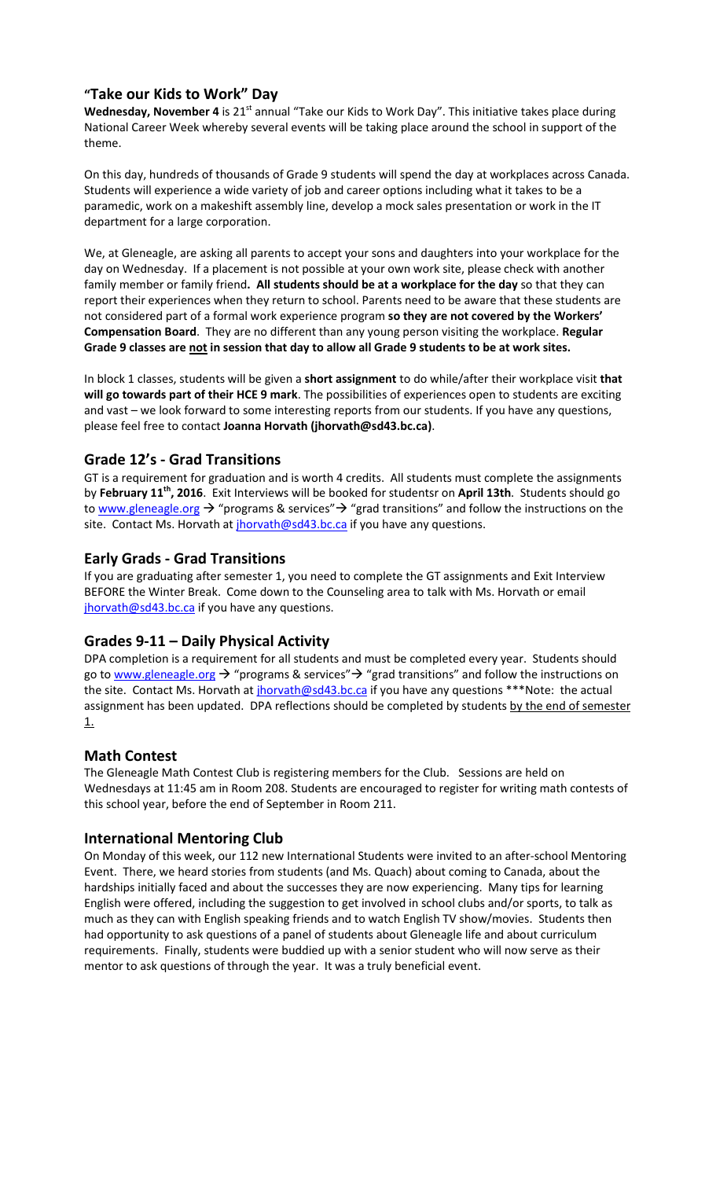## **"Take our Kids to Work" Day**

Wednesday, November 4 is 21<sup>st</sup> annual "Take our Kids to Work Day". This initiative takes place during National Career Week whereby several events will be taking place around the school in support of the theme.

On this day, hundreds of thousands of Grade 9 students will spend the day at workplaces across Canada. Students will experience a wide variety of job and career options including what it takes to be a paramedic, work on a makeshift assembly line, develop a mock sales presentation or work in the IT department for a large corporation.

We, at Gleneagle, are asking all parents to accept your sons and daughters into your workplace for the day on Wednesday. If a placement is not possible at your own work site, please check with another family member or family friend**. All students should be at a workplace for the day** so that they can report their experiences when they return to school. Parents need to be aware that these students are not considered part of a formal work experience program **so they are not covered by the Workers' Compensation Board**. They are no different than any young person visiting the workplace. **Regular Grade 9 classes are not in session that day to allow all Grade 9 students to be at work sites.**

In block 1 classes, students will be given a **short assignment** to do while/after their workplace visit **that will go towards part of their HCE 9 mark**. The possibilities of experiences open to students are exciting and vast – we look forward to some interesting reports from our students. If you have any questions, please feel free to contact **Joanna Horvath (jhorvath@sd43.bc.ca)**.

# **Grade 12's - Grad Transitions**

GT is a requirement for graduation and is worth 4 credits. All students must complete the assignments by **February 11th, 2016**. Exit Interviews will be booked for studentsr on **April 13th**. Students should go to [www.gleneagle.org](http://www.gleneagle.org/)  $\rightarrow$  "programs & services"  $\rightarrow$  "grad transitions" and follow the instructions on the site. Contact Ms. Horvath at [jhorvath@sd43.bc.ca](mailto:jhorvath@sd43.bc.ca) if you have any questions.

# **Early Grads - Grad Transitions**

If you are graduating after semester 1, you need to complete the GT assignments and Exit Interview BEFORE the Winter Break. Come down to the Counseling area to talk with Ms. Horvath or email [jhorvath@sd43.bc.ca](mailto:jhorvath@sd43.bc.ca) if you have any questions.

## **Grades 9-11 – Daily Physical Activity**

DPA completion is a requirement for all students and must be completed every year. Students should go to [www.gleneagle.org](http://www.gleneagle.org/)  $\rightarrow$  "programs & services"  $\rightarrow$  "grad transitions" and follow the instructions on the site. Contact Ms. Horvath at *jhorvath@sd43.bc.ca* if you have any questions \*\*\*Note: the actual assignment has been updated. DPA reflections should be completed by students by the end of semester 1.

## **Math Contest**

The Gleneagle Math Contest Club is registering members for the Club. Sessions are held on Wednesdays at 11:45 am in Room 208. Students are encouraged to register for writing math contests of this school year, before the end of September in Room 211.

## **International Mentoring Club**

On Monday of this week, our 112 new International Students were invited to an after-school Mentoring Event. There, we heard stories from students (and Ms. Quach) about coming to Canada, about the hardships initially faced and about the successes they are now experiencing. Many tips for learning English were offered, including the suggestion to get involved in school clubs and/or sports, to talk as much as they can with English speaking friends and to watch English TV show/movies. Students then had opportunity to ask questions of a panel of students about Gleneagle life and about curriculum requirements. Finally, students were buddied up with a senior student who will now serve as their mentor to ask questions of through the year. It was a truly beneficial event.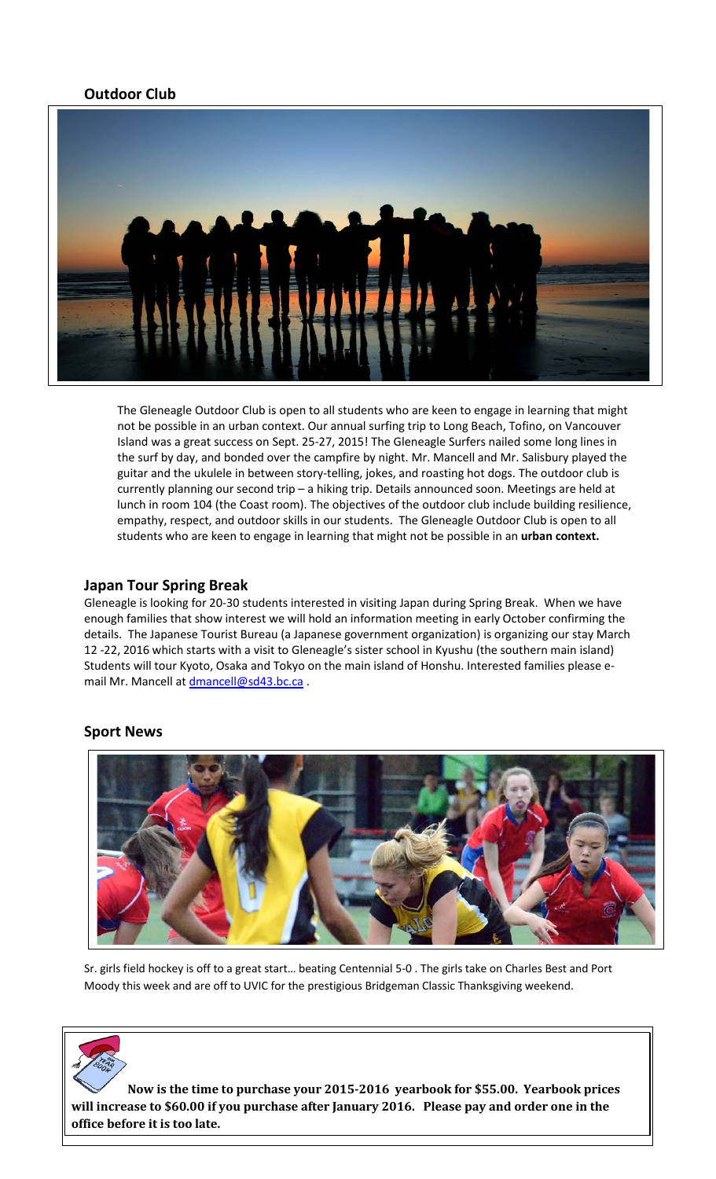## **Outdoor Club**



The Gleneagle Outdoor Club is open to all students who are keen to engage in learning that might not be possible in an urban context. Our annual surfing trip to Long Beach, Tofino, on Vancouver Island was a great success on Sept. 25-27, 2015! The Gleneagle Surfers nailed some long lines in the surf by day, and bonded over the campfire by night. Mr. Mancell and Mr. Salisbury played the guitar and the ukulele in between story-telling, jokes, and roasting hot dogs. The outdoor club is currently planning our second trip – a hiking trip. Details announced soon. Meetings are held at lunch in room 104 (the Coast room). The objectives of the outdoor club include building resilience, empathy, respect, and outdoor skills in our students. The Gleneagle Outdoor Club is open to all students who are keen to engage in learning that might not be possible in an **urban context.** 

#### **Japan Tour Spring Break**

Gleneagle is looking for 20-30 students interested in visiting Japan during Spring Break. When we have enough families that show interest we will hold an information meeting in early October confirming the details. The Japanese Tourist Bureau (a Japanese government organization) is organizing our stay March 12 -22, 2016 which starts with a visit to Gleneagle's sister school in Kyushu (the southern main island) Students will tour Kyoto, Osaka and Tokyo on the main island of Honshu. Interested families please email Mr. Mancell a[t dmancell@sd43.bc.ca](mailto:dmancell@sd43.bc.ca).

#### **Sport News**



Sr. girls field hockey is off to a great start… beating Centennial 5-0 . The girls take on Charles Best and Port Moody this week and are off to UVIC for the prestigious Bridgeman Classic Thanksgiving weekend.

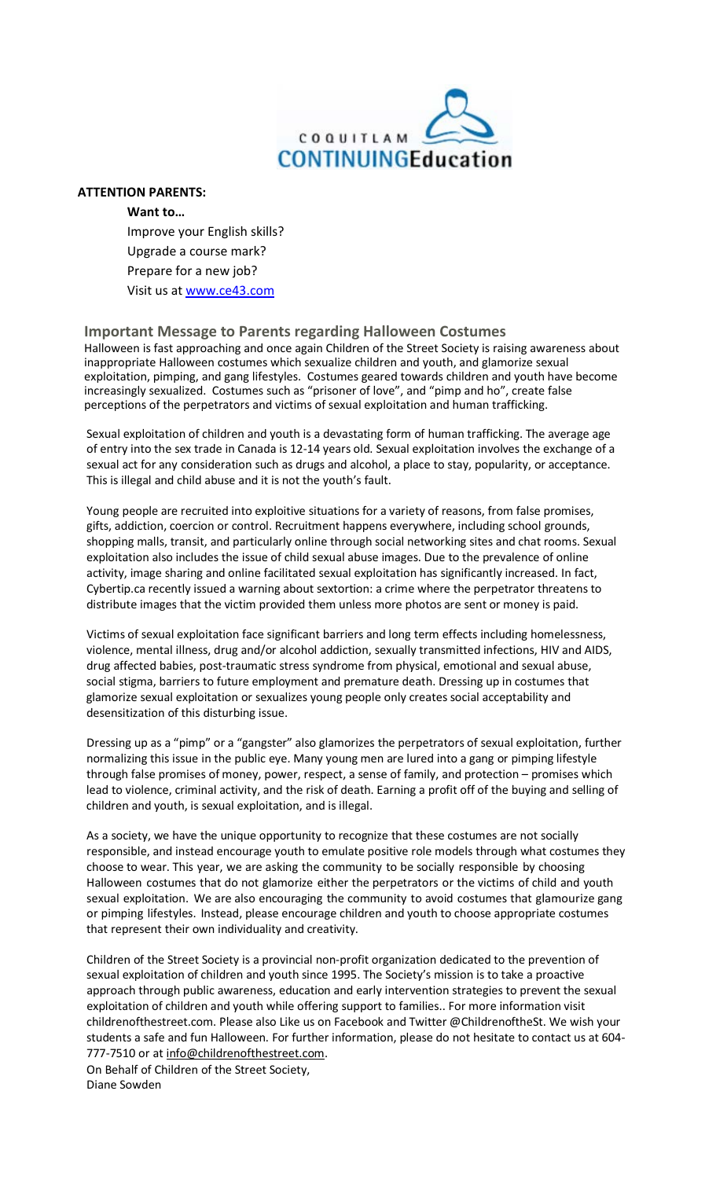

#### **ATTENTION PARENTS:**

**Want to…** Improve your English skills? Upgrade a course mark? Prepare for a new job? Visit us at [www.ce43.com](http://www.ce43.com/)

#### **Important Message to Parents regarding Halloween Costumes**

Halloween is fast approaching and once again Children of the Street Society is raising awareness about inappropriate Halloween costumes which sexualize children and youth, and glamorize sexual exploitation, pimping, and gang lifestyles. Costumes geared towards children and youth have become increasingly sexualized. Costumes such as "prisoner of love", and "pimp and ho", create false perceptions of the perpetrators and victims of sexual exploitation and human trafficking.

Sexual exploitation of children and youth is a devastating form of human trafficking. The average age of entry into the sex trade in Canada is 12-14 years old. Sexual exploitation involves the exchange of a sexual act for any consideration such as drugs and alcohol, a place to stay, popularity, or acceptance. This is illegal and child abuse and it is not the youth's fault.

Young people are recruited into exploitive situations for a variety of reasons, from false promises, gifts, addiction, coercion or control. Recruitment happens everywhere, including school grounds, shopping malls, transit, and particularly online through social networking sites and chat rooms. Sexual exploitation also includes the issue of child sexual abuse images. Due to the prevalence of online activity, image sharing and online facilitated sexual exploitation has significantly increased. In fact, Cybertip.ca recently issued a warning about sextortion: a crime where the perpetrator threatens to distribute images that the victim provided them unless more photos are sent or money is paid.

Victims of sexual exploitation face significant barriers and long term effects including homelessness, violence, mental illness, drug and/or alcohol addiction, sexually transmitted infections, HIV and AIDS, drug affected babies, post-traumatic stress syndrome from physical, emotional and sexual abuse, social stigma, barriers to future employment and premature death. Dressing up in costumes that glamorize sexual exploitation or sexualizes young people only creates social acceptability and desensitization of this disturbing issue.

Dressing up as a "pimp" or a "gangster" also glamorizes the perpetrators of sexual exploitation, further normalizing this issue in the public eye. Many young men are lured into a gang or pimping lifestyle through false promises of money, power, respect, a sense of family, and protection – promises which lead to violence, criminal activity, and the risk of death. Earning a profit off of the buying and selling of children and youth, is sexual exploitation, and is illegal.

As a society, we have the unique opportunity to recognize that these costumes are not socially responsible, and instead encourage youth to emulate positive role models through what costumes they choose to wear. This year, we are asking the community to be socially responsible by choosing Halloween costumes that do not glamorize either the perpetrators or the victims of child and youth sexual exploitation. We are also encouraging the community to avoid costumes that glamourize gang or pimping lifestyles. Instead, please encourage children and youth to choose appropriate costumes that represent their own individuality and creativity.

Children of the Street Society is a provincial non-profit organization dedicated to the prevention of sexual exploitation of children and youth since 1995. The Society's mission is to take a proactive approach through public awareness, education and early intervention strategies to prevent the sexual exploitation of children and youth while offering support to families.. For more information visit childrenofthestreet.com. Please also Like us on Facebook and Twitter @ChildrenoftheSt. We wish your students a safe and fun Halloween. For further information, please do not hesitate to contact us at 604- 777-7510 or at [info@childrenofthestreet.com.](mailto:info@childrenofthestreet.com)

On Behalf of Children of the Street Society, Diane Sowden